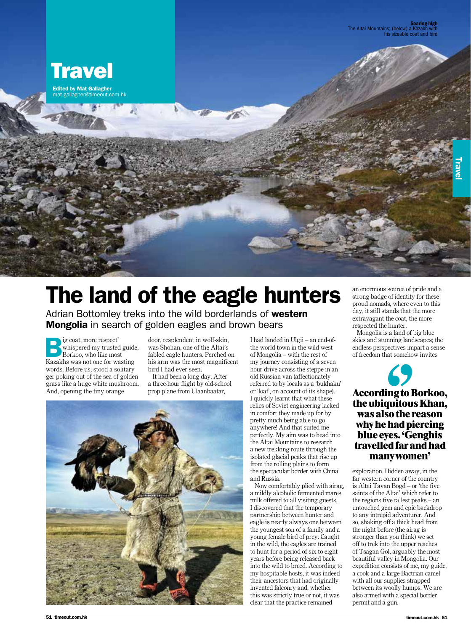

## The land of the eagle hunters

Adrian Bottomley treks into the wild borderlands of western **Mongolia** in search of golden eagles and brown bears

**B**ig coat, more respect<br>
Borkoo, who like most<br>
Kazakhs was not one for was whispered my trusted guide, Kazakhs was not one for wasting words. Before us, stood a solitary ger poking out of the sea of golden grass like a huge white mushroom. And, opening the tiny orange

door, resplendent in wolf-skin, was Shohan, one of the Altai's fabled eagle hunters. Perched on his arm was the most magnificent bird I had ever seen.

It had been a long day. After a three-hour flight by old-school prop plane from Ulaanbaatar,



I had landed in Ulgii – an end-ofthe-world town in the wild west of Mongolia – with the rest of my journey consisting of a seven hour drive across the steppe in an old Russian van (affectionately referred to by locals as a 'bukhaku' or 'loaf', on account of its shape). I quickly learnt that what these relics of Soviet engineering lacked in comfort they made up for by pretty much being able to go anywhere! And that suited me perfectly. My aim was to head into the Altai Mountains to research a new trekking route through the isolated glacial peaks that rise up from the rolling plains to form the spectacular border with China and Russia.

Now comfortably plied with airag, a mildly alcoholic fermented mares milk offered to all visiting guests, I discovered that the temporary partnership between hunter and eagle is nearly always one between the youngest son of a family and a young female bird of prey. Caught in the wild, the eagles are trained to hunt for a period of six to eight years before being released back into the wild to breed. According to my hospitable hosts, it was indeed their ancestors that had originally invented falconry and, whether this was strictly true or not, it was clear that the practice remained

an enormous source of pride and a strong badge of identity for these proud nomads, where even to this day, it still stands that the more extravagant the coat, the more respected the hunter.

Mongolia is a land of big blue skies and stunning landscapes; the endless perspectives impart a sense of freedom that somehow invites

## **According to Borkoo, the ubiquitous Khan, was also the reason why he had piercing blue eyes. 'Genghis travelled far and had many women'**

exploration. Hidden away, in the far western corner of the country is Altai Tavan Bogd – or 'the five saints of the Altai' which refer to the regions five tallest peaks – an untouched gem and epic backdrop to any intrepid adventurer. And so, shaking off a thick head from the night before (the airag is stronger than you think) we set off to trek into the upper reaches of Tsagan Gol, arguably the most beautiful valley in Mongolia. Our expedition consists of me, my guide, a cook and a large Bactrian camel with all our supplies strapped between its woolly humps. We are also armed with a special border permit and a gun.